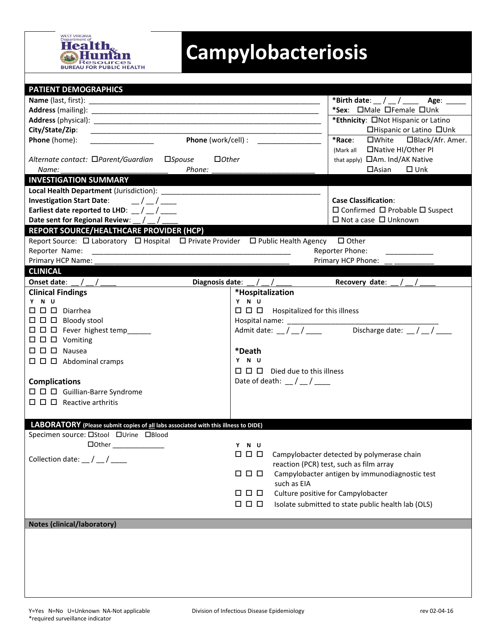

## **Campylobacteriosis**

| <b>PATIENT DEMOGRAPHICS</b>                                                                                       |                                                             |                                                               |  |  |
|-------------------------------------------------------------------------------------------------------------------|-------------------------------------------------------------|---------------------------------------------------------------|--|--|
|                                                                                                                   |                                                             | *Birth date: $\_\,\_\,\_\,\_\,\_\,\_\$ Age: ____              |  |  |
|                                                                                                                   |                                                             | *Sex: OMale OFemale OUnk                                      |  |  |
|                                                                                                                   |                                                             | *Ethnicity: ONot Hispanic or Latino                           |  |  |
| City/State/Zip:                                                                                                   |                                                             | □Hispanic or Latino □Unk                                      |  |  |
| Phone (home):                                                                                                     | <b>Phone</b> (work/cell) :                                  | *Race:<br>□White □Black/Afr. Amer.                            |  |  |
|                                                                                                                   |                                                             | □ Native HI/Other PI<br>(Mark all                             |  |  |
| Alternate contact: □Parent/Guardian □Spouse<br>$\Box$ Other                                                       |                                                             | that apply) <b>CAm.</b> Ind/AK Native                         |  |  |
| Phone:<br>Name:                                                                                                   |                                                             | $\Box$ Asian<br>$\square$ Unk                                 |  |  |
| <b>INVESTIGATION SUMMARY</b>                                                                                      |                                                             |                                                               |  |  |
|                                                                                                                   |                                                             |                                                               |  |  |
| Investigation Start Date: $\frac{1}{2}$ / $\frac{1}{2}$                                                           |                                                             | <b>Case Classification:</b>                                   |  |  |
| Earliest date reported to LHD: $\frac{1}{2}$ / $\frac{1}{2}$                                                      |                                                             | $\square$ Confirmed $\square$ Probable $\square$ Suspect      |  |  |
| Date sent for Regional Review: _/ _/ __                                                                           |                                                             | $\Box$ Not a case $\Box$ Unknown                              |  |  |
| REPORT SOURCE/HEALTHCARE PROVIDER (HCP)                                                                           |                                                             |                                                               |  |  |
| Report Source: $\Box$ Laboratory $\Box$ Hospital $\Box$ Private Provider $\Box$ Public Health Agency $\Box$ Other |                                                             |                                                               |  |  |
| Reporter Name:                                                                                                    |                                                             | Reporter Phone:                                               |  |  |
| Primary HCP Name: _                                                                                               |                                                             | Primary HCP Phone:                                            |  |  |
| <b>CLINICAL</b>                                                                                                   |                                                             |                                                               |  |  |
|                                                                                                                   | Diagnosis date: $\frac{1}{2}$ / $\frac{1}{2}$               | Recovery date: $\angle$ / $\angle$                            |  |  |
| <b>Clinical Findings</b>                                                                                          | *Hospitalization                                            |                                                               |  |  |
| Y N U                                                                                                             | Y N U                                                       |                                                               |  |  |
| $\square$ $\square$ $\square$ Diarrhea                                                                            | $\square$ $\square$ $\square$ Hospitalized for this illness |                                                               |  |  |
| $\Box$ $\Box$ Bloody stool                                                                                        |                                                             |                                                               |  |  |
| $\Box$ $\Box$ $\Box$ Fever highest temp_____                                                                      | Admit date: $\frac{1}{2}$ / $\frac{1}{2}$                   | Discharge date: $\frac{1}{2}$ / $\frac{1}{2}$ / $\frac{1}{2}$ |  |  |
| $\Box$ $\Box$ $\Box$ Vomiting                                                                                     |                                                             |                                                               |  |  |
| $\Box$ $\Box$ $\Box$ Nausea                                                                                       | *Death                                                      |                                                               |  |  |
| $\Box$ $\Box$ Abdominal cramps                                                                                    | Y N U                                                       |                                                               |  |  |
|                                                                                                                   | $\Box$ $\Box$ Died due to this illness                      |                                                               |  |  |
| <b>Complications</b>                                                                                              | Date of death: $\frac{1}{2}$ / $\frac{1}{2}$                |                                                               |  |  |
| $\Box$ $\Box$ Guillian-Barre Syndrome                                                                             |                                                             |                                                               |  |  |
| $\Box$ $\Box$ $\Box$ Reactive arthritis                                                                           |                                                             |                                                               |  |  |
|                                                                                                                   |                                                             |                                                               |  |  |
| LABORATORY (Please submit copies of all labs associated with this illness to DIDE)                                |                                                             |                                                               |  |  |
| Specimen source: □Stool □Urine □Blood                                                                             |                                                             |                                                               |  |  |
|                                                                                                                   | Y N U                                                       |                                                               |  |  |
|                                                                                                                   | $\Box$ $\Box$ $\Box$                                        | Campylobacter detected by polymerase chain                    |  |  |
| Collection date: $\frac{1}{2}$ / $\frac{1}{2}$                                                                    |                                                             | reaction (PCR) test, such as film array                       |  |  |
|                                                                                                                   | $\Box$ $\Box$ $\Box$                                        | Campylobacter antigen by immunodiagnostic test                |  |  |
|                                                                                                                   | such as EIA                                                 |                                                               |  |  |
|                                                                                                                   | 0 0 0                                                       | Culture positive for Campylobacter                            |  |  |
|                                                                                                                   | $\Box$ $\Box$ $\Box$                                        | Isolate submitted to state public health lab (OLS)            |  |  |
|                                                                                                                   |                                                             |                                                               |  |  |
| <b>Notes (clinical/laboratory)</b>                                                                                |                                                             |                                                               |  |  |
|                                                                                                                   |                                                             |                                                               |  |  |
|                                                                                                                   |                                                             |                                                               |  |  |
|                                                                                                                   |                                                             |                                                               |  |  |
|                                                                                                                   |                                                             |                                                               |  |  |
|                                                                                                                   |                                                             |                                                               |  |  |
|                                                                                                                   |                                                             |                                                               |  |  |
|                                                                                                                   |                                                             |                                                               |  |  |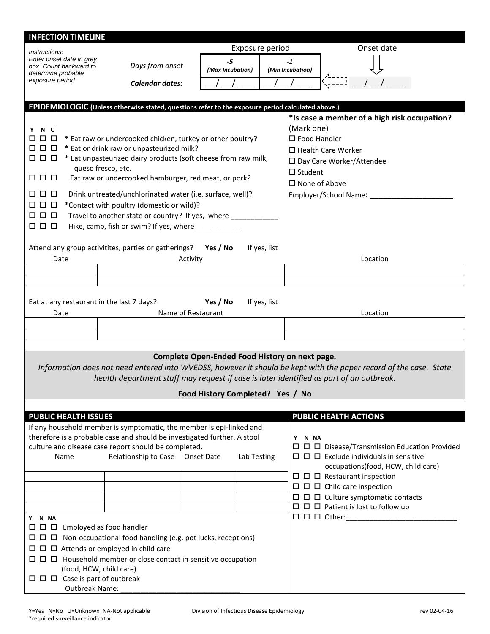| <b>INFECTION TIMELINE</b>                          |                                                                                                                              |                                                |                  |                                                                                                                   |
|----------------------------------------------------|------------------------------------------------------------------------------------------------------------------------------|------------------------------------------------|------------------|-------------------------------------------------------------------------------------------------------------------|
| Exposure period<br><i>Instructions:</i>            |                                                                                                                              |                                                | Onset date       |                                                                                                                   |
| Enter onset date in grey<br>box. Count backward to | Days from onset                                                                                                              | $-5$                                           | $-1$             |                                                                                                                   |
| determine probable                                 |                                                                                                                              | (Max Incubation)                               | (Min Incubation) |                                                                                                                   |
| exposure period                                    | <b>Calendar dates:</b>                                                                                                       |                                                |                  |                                                                                                                   |
|                                                    |                                                                                                                              |                                                |                  |                                                                                                                   |
|                                                    | EPIDEMIOLOGIC (Unless otherwise stated, questions refer to the exposure period calculated above.)                            |                                                |                  |                                                                                                                   |
|                                                    |                                                                                                                              |                                                | (Mark one)       | *Is case a member of a high risk occupation?                                                                      |
| Y N U<br>0 O                                       | * Eat raw or undercooked chicken, turkey or other poultry?                                                                   |                                                |                  | $\square$ Food Handler                                                                                            |
| 888                                                | * Eat or drink raw or unpasteurized milk?                                                                                    |                                                |                  | $\Box$ Health Care Worker                                                                                         |
| 000                                                | * Eat unpasteurized dairy products (soft cheese from raw milk,                                                               |                                                |                  | □ Day Care Worker/Attendee                                                                                        |
| 888                                                | queso fresco, etc.<br>Eat raw or undercooked hamburger, red meat, or pork?                                                   |                                                | $\Box$ Student   |                                                                                                                   |
|                                                    |                                                                                                                              |                                                |                  | $\Box$ None of Above                                                                                              |
| 000                                                | Drink untreated/unchlorinated water (i.e. surface, well)?                                                                    |                                                |                  | Employer/School Name: _______                                                                                     |
| 000<br><b>000</b>                                  | *Contact with poultry (domestic or wild)?                                                                                    |                                                |                  |                                                                                                                   |
| 0 0 0                                              | Travel to another state or country? If yes, where ___________<br>Hike, camp, fish or swim? If yes, where                     |                                                |                  |                                                                                                                   |
|                                                    |                                                                                                                              |                                                |                  |                                                                                                                   |
|                                                    | Attend any group activitites, parties or gatherings?                                                                         | Yes / No                                       | If yes, list     |                                                                                                                   |
| Date                                               | Activity                                                                                                                     |                                                |                  | Location                                                                                                          |
|                                                    |                                                                                                                              |                                                |                  |                                                                                                                   |
|                                                    |                                                                                                                              |                                                |                  |                                                                                                                   |
|                                                    |                                                                                                                              | Yes / No                                       |                  |                                                                                                                   |
| Eat at any restaurant in the last 7 days?<br>Date  |                                                                                                                              | Name of Restaurant                             | If yes, list     | Location                                                                                                          |
|                                                    |                                                                                                                              |                                                |                  |                                                                                                                   |
|                                                    |                                                                                                                              |                                                |                  |                                                                                                                   |
|                                                    |                                                                                                                              |                                                |                  |                                                                                                                   |
|                                                    |                                                                                                                              | Complete Open-Ended Food History on next page. |                  |                                                                                                                   |
|                                                    |                                                                                                                              |                                                |                  | Information does not need entered into WVEDSS, however it should be kept with the paper record of the case. State |
|                                                    | health department staff may request if case is later identified as part of an outbreak.                                      |                                                |                  |                                                                                                                   |
|                                                    |                                                                                                                              | Food History Completed? Yes / No               |                  |                                                                                                                   |
|                                                    |                                                                                                                              |                                                |                  |                                                                                                                   |
| <b>PUBLIC HEALTH ISSUES</b>                        | If any household member is symptomatic, the member is epi-linked and                                                         |                                                |                  | PUBLIC HEALTH ACTIONS                                                                                             |
|                                                    | therefore is a probable case and should be investigated further. A stool                                                     |                                                | Y N NA           |                                                                                                                   |
|                                                    | culture and disease case report should be completed.                                                                         |                                                |                  |                                                                                                                   |
| Name                                               | Relationship to Case Onset Date                                                                                              |                                                | Lab Testing      | $\Box$ $\Box$ Exclude individuals in sensitive                                                                    |
|                                                    |                                                                                                                              |                                                |                  | occupations(food, HCW, child care)<br>$\Box$ $\Box$ Restaurant inspection                                         |
|                                                    |                                                                                                                              |                                                |                  | $\Box$ $\Box$ $\Box$ Child care inspection                                                                        |
|                                                    |                                                                                                                              |                                                |                  | $\Box$ $\Box$ Culture symptomatic contacts                                                                        |
|                                                    |                                                                                                                              |                                                |                  | $\Box$ $\Box$ Patient is lost to follow up                                                                        |
| Y N NA                                             |                                                                                                                              |                                                |                  |                                                                                                                   |
| $\Box$ $\Box$ Employed as food handler             |                                                                                                                              |                                                |                  |                                                                                                                   |
|                                                    | $\Box$ $\Box$ Non-occupational food handling (e.g. pot lucks, receptions)<br>$\Box$ $\Box$ Attends or employed in child care |                                                |                  |                                                                                                                   |
|                                                    |                                                                                                                              |                                                |                  |                                                                                                                   |
| (food, HCW, child care)                            |                                                                                                                              |                                                |                  |                                                                                                                   |
|                                                    |                                                                                                                              |                                                |                  |                                                                                                                   |
| Outbreak Name:                                     |                                                                                                                              |                                                |                  |                                                                                                                   |